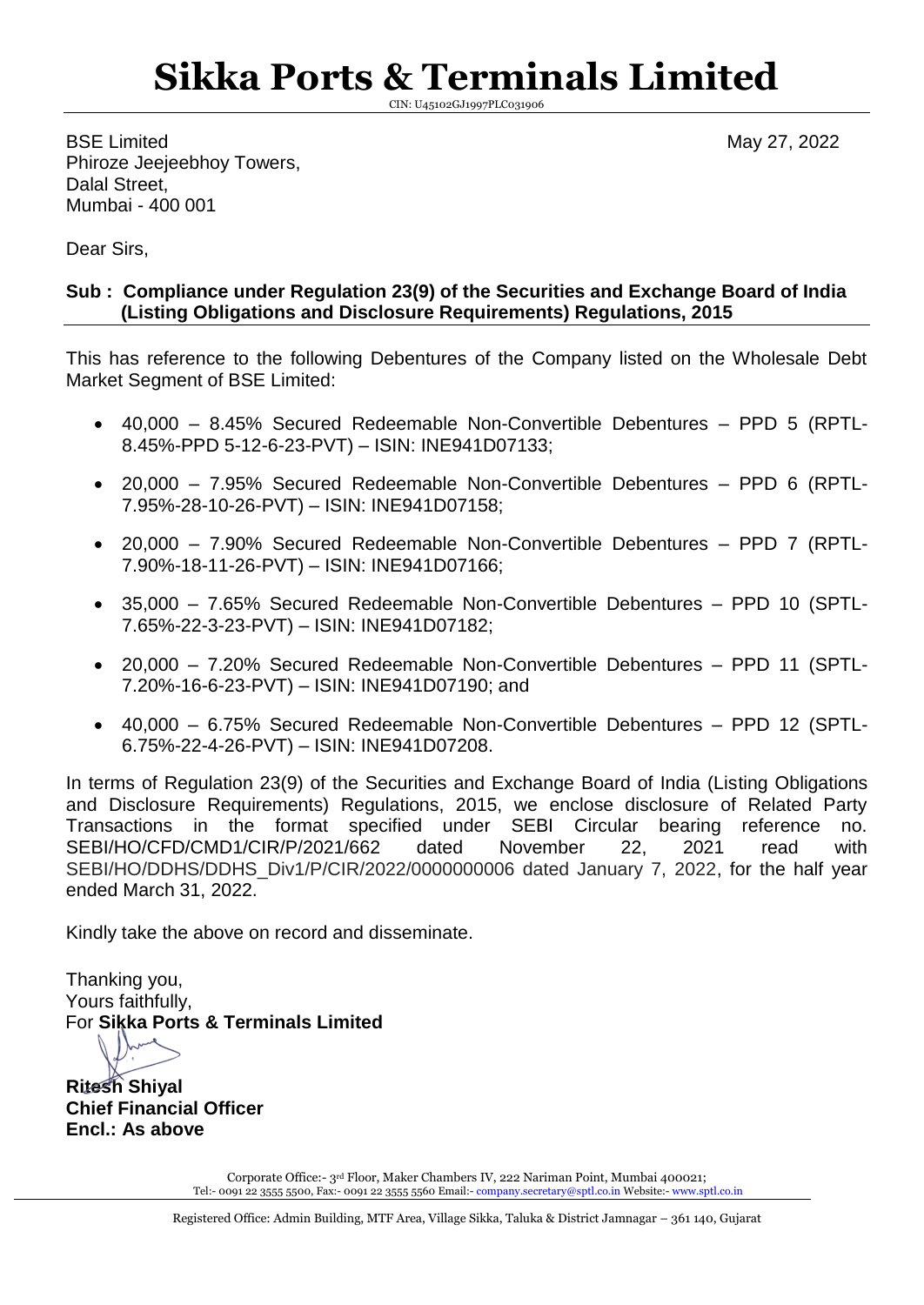## **Sikka Ports & Terminals Limited**

CIN: U45102GJ1997PLC031906

BSE Limited May 27, 2022 Phiroze Jeejeebhoy Towers, Dalal Street, Mumbai - 400 001

Dear Sirs,

## **Sub : Compliance under Regulation 23(9) of the Securities and Exchange Board of India (Listing Obligations and Disclosure Requirements) Regulations, 2015**

This has reference to the following Debentures of the Company listed on the Wholesale Debt Market Segment of BSE Limited:

- 40,000 8.45% Secured Redeemable Non-Convertible Debentures PPD 5 (RPTL-8.45%-PPD 5-12-6-23-PVT) – ISIN: INE941D07133;
- 20,000 7.95% Secured Redeemable Non-Convertible Debentures PPD 6 (RPTL-7.95%-28-10-26-PVT) – ISIN: INE941D07158;
- 20,000 7.90% Secured Redeemable Non-Convertible Debentures PPD 7 (RPTL-7.90%-18-11-26-PVT) – ISIN: INE941D07166;
- 35,000 7.65% Secured Redeemable Non-Convertible Debentures PPD 10 (SPTL-7.65%-22-3-23-PVT) – ISIN: INE941D07182;
- 20,000 7.20% Secured Redeemable Non-Convertible Debentures PPD 11 (SPTL-7.20%-16-6-23-PVT) – ISIN: INE941D07190; and
- 40,000 6.75% Secured Redeemable Non-Convertible Debentures PPD 12 (SPTL-6.75%-22-4-26-PVT) – ISIN: INE941D07208.

In terms of Regulation 23(9) of the Securities and Exchange Board of India (Listing Obligations and Disclosure Requirements) Regulations, 2015, we enclose disclosure of Related Party Transactions in the format specified under SEBI Circular bearing reference no. SEBI/HO/CFD/CMD1/CIR/P/2021/662 dated November 22, 2021 read with SEBI/HO/DDHS/DDHS\_Div1/P/CIR/2022/0000000006 dated January 7, 2022, for the half year ended March 31, 2022.

Kindly take the above on record and disseminate.

Thanking you, Yours faithfully, For **Sikka Ports & Terminals Limited**

**Ritesh Shiyal Chief Financial Officer Encl.: As above**

> Corporate Office:- 3rd Floor, Maker Chambers IV, 222 Nariman Point, Mumbai 400021; Tel:- 0091 22 3555 5500, Fax:- 0091 22 3555 5560 Email:- [company.secretary@sptl.co.in](mailto:company.secretary@sptl.co.in) Website:- [www.sptl.co.in](http://www.sptl.co.in/)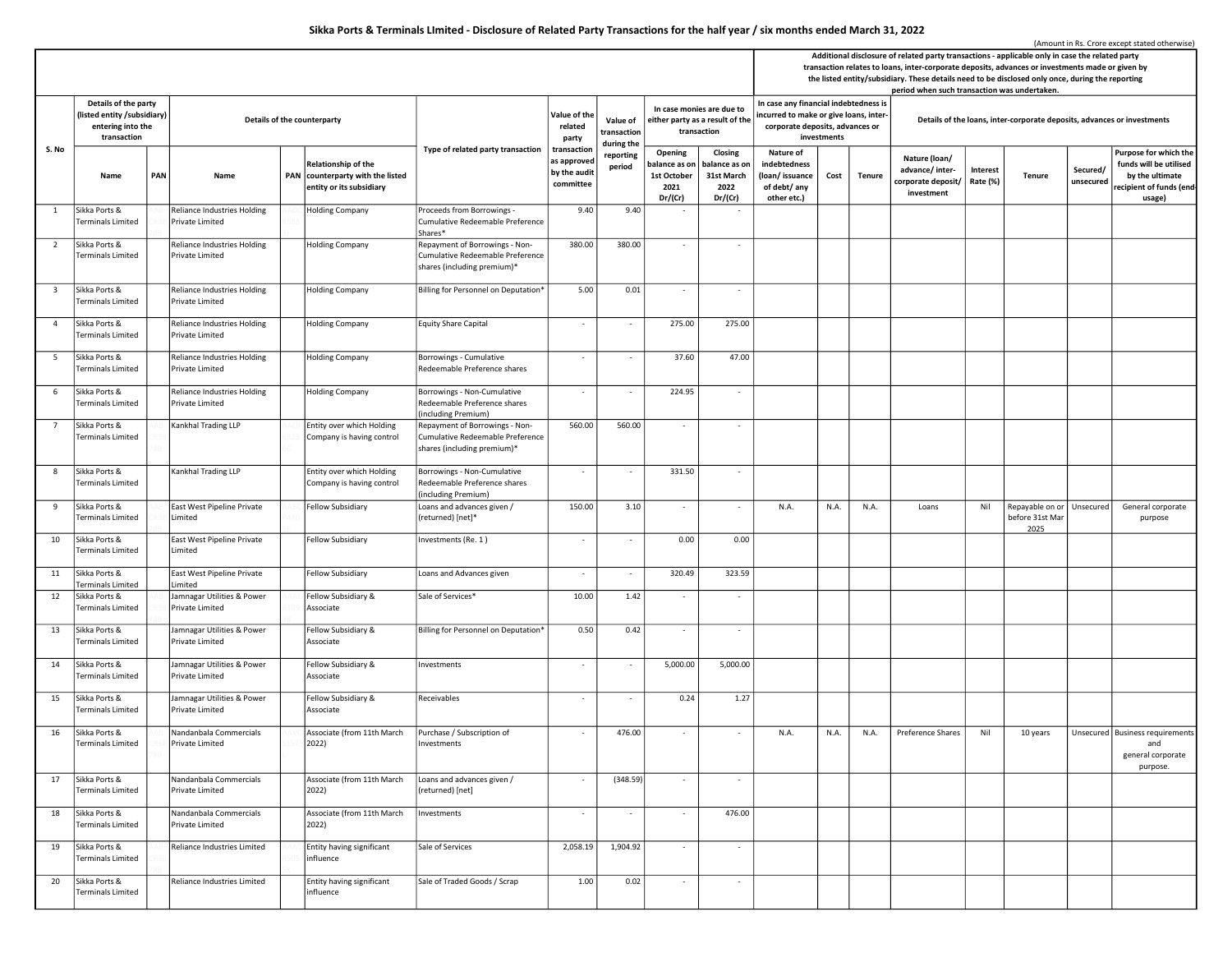## Sikka Ports & Terminals LImited - Disclosure of Related Party Transactions for the half year / six months ended March 31, 2022

|                         |                                                                                         |     |                                                       |  |                                                                                     |                                                                                                   |                                                         |                                   | (Amount in Rs. Crore except stated otherwise)<br>Additional disclosure of related party transactions - applicable only in case the related party<br>transaction relates to loans, inter-corporate deposits, advances or investments made or given by<br>the listed entity/subsidiary. These details need to be disclosed only once, during the reporting |                                                           |                                                                                                                    |             |               |                                                                                                                         |                      |                                            |                       |                                                                                                         |  |
|-------------------------|-----------------------------------------------------------------------------------------|-----|-------------------------------------------------------|--|-------------------------------------------------------------------------------------|---------------------------------------------------------------------------------------------------|---------------------------------------------------------|-----------------------------------|----------------------------------------------------------------------------------------------------------------------------------------------------------------------------------------------------------------------------------------------------------------------------------------------------------------------------------------------------------|-----------------------------------------------------------|--------------------------------------------------------------------------------------------------------------------|-------------|---------------|-------------------------------------------------------------------------------------------------------------------------|----------------------|--------------------------------------------|-----------------------|---------------------------------------------------------------------------------------------------------|--|
| S. No                   | Details of the party<br>(listed entity /subsidiary)<br>entering into the<br>transaction |     | Details of the counterparty                           |  |                                                                                     |                                                                                                   | Value of the<br>related<br>party                        | Value of<br>transaction           | In case monies are due to<br>either party as a result of the<br>transaction                                                                                                                                                                                                                                                                              |                                                           | In case any financial indebtedness is<br>incurred to make or give loans, inter-<br>corporate deposits, advances or | investments |               | period when such transaction was undertaken.<br>Details of the loans, inter-corporate deposits, advances or investments |                      |                                            |                       |                                                                                                         |  |
|                         | Name                                                                                    | PAN | Name                                                  |  | Relationship of the<br>PAN counterparty with the listed<br>entity or its subsidiary | Type of related party transaction                                                                 | transaction<br>as approved<br>by the audit<br>committee | during the<br>reporting<br>period | Opening<br>oalance as on<br>1st October<br>2021<br>Dr/(Cr)                                                                                                                                                                                                                                                                                               | Closing<br>balance as on<br>31st March<br>2022<br>Dr/(Cr) | Nature of<br>indebtedness<br>(loan/issuance<br>of debt/ any<br>other etc.)                                         | Cost        | <b>Tenure</b> | Nature (loan/<br>advance/inter-<br>corporate deposit/<br>investment                                                     | Interest<br>Rate (%) | <b>Tenure</b>                              | Secured/<br>unsecured | Purpose for which the<br>funds will be utilised<br>by the ultimate<br>recipient of funds (end<br>usage) |  |
| $\mathbf{1}$            | Sikka Ports &<br>Terminals Limited                                                      |     | Reliance Industries Holding<br>Private Limited        |  | <b>Holding Company</b>                                                              | Proceeds from Borrowings -<br>Cumulative Redeemable Preference<br>Shares*                         | 9.40                                                    | 9.40                              |                                                                                                                                                                                                                                                                                                                                                          |                                                           |                                                                                                                    |             |               |                                                                                                                         |                      |                                            |                       |                                                                                                         |  |
| $\overline{2}$          | Sikka Ports &<br>Terminals Limited                                                      |     | <b>Reliance Industries Holding</b><br>Private Limited |  | <b>Holding Company</b>                                                              | Repayment of Borrowings - Non-<br>Cumulative Redeemable Preference<br>shares (including premium)* | 380.00                                                  | 380.00                            |                                                                                                                                                                                                                                                                                                                                                          | $\overline{\phantom{a}}$                                  |                                                                                                                    |             |               |                                                                                                                         |                      |                                            |                       |                                                                                                         |  |
| $\overline{\mathbf{3}}$ | Sikka Ports &<br>Terminals Limited                                                      |     | <b>Reliance Industries Holding</b><br>Private Limited |  | Holding Company                                                                     | Billing for Personnel on Deputation'                                                              | 5.00                                                    | 0.01                              | $\overline{\phantom{a}}$                                                                                                                                                                                                                                                                                                                                 | $\overline{\phantom{a}}$                                  |                                                                                                                    |             |               |                                                                                                                         |                      |                                            |                       |                                                                                                         |  |
| $\overline{4}$          | Sikka Ports &<br>Terminals Limited                                                      |     | <b>Reliance Industries Holding</b><br>Private Limited |  | <b>Holding Company</b>                                                              | <b>Equity Share Capital</b>                                                                       | $\sim$                                                  | $\sim$                            | 275.00                                                                                                                                                                                                                                                                                                                                                   | 275.00                                                    |                                                                                                                    |             |               |                                                                                                                         |                      |                                            |                       |                                                                                                         |  |
| 5                       | Sikka Ports &<br>Terminals Limited                                                      |     | <b>Reliance Industries Holding</b><br>Private Limited |  | Holding Company                                                                     | Borrowings - Cumulative<br>Redeemable Preference shares                                           | $\overline{\phantom{a}}$                                | $\sim$                            | 37.60                                                                                                                                                                                                                                                                                                                                                    | 47.00                                                     |                                                                                                                    |             |               |                                                                                                                         |                      |                                            |                       |                                                                                                         |  |
| 6                       | Sikka Ports &<br>Terminals Limited                                                      |     | <b>Reliance Industries Holding</b><br>Private Limited |  | <b>Holding Company</b>                                                              | Borrowings - Non-Cumulative<br>Redeemable Preference shares<br>(including Premium)                | ÷.                                                      | $\overline{\phantom{a}}$          | 224.95                                                                                                                                                                                                                                                                                                                                                   | $\overline{\phantom{a}}$                                  |                                                                                                                    |             |               |                                                                                                                         |                      |                                            |                       |                                                                                                         |  |
| $7\overline{ }$         | Sikka Ports &<br><b>Terminals Limited</b>                                               |     | Kankhal Trading LLP                                   |  | Entity over which Holding<br>Company is having control                              | Repayment of Borrowings - Non-<br>Cumulative Redeemable Preference<br>shares (including premium)* | 560.00                                                  | 560.00                            | $\overline{\phantom{a}}$                                                                                                                                                                                                                                                                                                                                 | $\overline{\phantom{a}}$                                  |                                                                                                                    |             |               |                                                                                                                         |                      |                                            |                       |                                                                                                         |  |
| 8                       | Sikka Ports &<br>Terminals Limited                                                      |     | Kankhal Trading LLP                                   |  | Entity over which Holding<br>Company is having control                              | Borrowings - Non-Cumulative<br>Redeemable Preference shares<br>(including Premium)                | $\overline{\phantom{a}}$                                | $\sim$                            | 331.50                                                                                                                                                                                                                                                                                                                                                   | $\overline{\phantom{a}}$                                  |                                                                                                                    |             |               |                                                                                                                         |                      |                                            |                       |                                                                                                         |  |
| 9                       | Sikka Ports &<br>Terminals Limited                                                      |     | East West Pipeline Private<br>Limited                 |  | Fellow Subsidiary                                                                   | Loans and advances given /<br>(returned) [net]*                                                   | 150.00                                                  | 3.10                              | $\overline{\phantom{a}}$                                                                                                                                                                                                                                                                                                                                 | $\overline{\phantom{a}}$                                  | N.A.                                                                                                               | N.A.        | N.A.          | Loans                                                                                                                   | Nil                  | Repayable on or<br>before 31st Mar<br>2025 | Unsecured             | General corporate<br>purpose                                                                            |  |
| 10                      | Sikka Ports &<br>Terminals Limited                                                      |     | East West Pipeline Private<br>Limited                 |  | Fellow Subsidiary                                                                   | Investments (Re. 1)                                                                               | $\overline{\phantom{a}}$                                | $\sim$                            | 0.00                                                                                                                                                                                                                                                                                                                                                     | 0.00                                                      |                                                                                                                    |             |               |                                                                                                                         |                      |                                            |                       |                                                                                                         |  |
| 11                      | Sikka Ports &<br>Terminals Limited                                                      |     | East West Pipeline Private<br>Limited                 |  | <b>Fellow Subsidiary</b>                                                            | Loans and Advances given                                                                          | $\sim$                                                  | $\sim$                            | 320.49                                                                                                                                                                                                                                                                                                                                                   | 323.59                                                    |                                                                                                                    |             |               |                                                                                                                         |                      |                                            |                       |                                                                                                         |  |
| 12                      | Sikka Ports &<br>Terminals Limited                                                      |     | Jamnagar Utilities & Power<br>Private Limited         |  | Fellow Subsidiary &<br>Associate                                                    | Sale of Services*                                                                                 | 10.00                                                   | 1.42                              |                                                                                                                                                                                                                                                                                                                                                          | $\overline{\phantom{a}}$                                  |                                                                                                                    |             |               |                                                                                                                         |                      |                                            |                       |                                                                                                         |  |
| 13                      | Sikka Ports &<br>Terminals Limited                                                      |     | Jamnagar Utilities & Power<br>Private Limited         |  | Fellow Subsidiary &<br>Associate                                                    | Billing for Personnel on Deputation*                                                              | 0.50                                                    | 0.42                              |                                                                                                                                                                                                                                                                                                                                                          | $\overline{\phantom{a}}$                                  |                                                                                                                    |             |               |                                                                                                                         |                      |                                            |                       |                                                                                                         |  |
| 14                      | Sikka Ports &<br>Terminals Limited                                                      |     | Jamnagar Utilities & Power<br>Private Limited         |  | Fellow Subsidiary &<br>Associate                                                    | Investments                                                                                       | $\sim$                                                  | $\sim$                            | 5,000.00                                                                                                                                                                                                                                                                                                                                                 | 5,000.00                                                  |                                                                                                                    |             |               |                                                                                                                         |                      |                                            |                       |                                                                                                         |  |
| 15                      | Sikka Ports &<br>Terminals Limited                                                      |     | Jamnagar Utilities & Power<br>Private Limited         |  | Fellow Subsidiary &<br>Associate                                                    | Receivables                                                                                       | $\overline{\phantom{a}}$                                | $\overline{\phantom{a}}$          | 0.24                                                                                                                                                                                                                                                                                                                                                     | 1.27                                                      |                                                                                                                    |             |               |                                                                                                                         |                      |                                            |                       |                                                                                                         |  |
| 16                      | Sikka Ports &<br><b>Terminals Limited</b>                                               |     | Nandanbala Commercials<br>Private Limited             |  | Associate (from 11th March<br>2022)                                                 | Purchase / Subscription of<br>Investments                                                         |                                                         | 476.00                            |                                                                                                                                                                                                                                                                                                                                                          |                                                           | N.A.                                                                                                               |             | N.A. N.A.     | Preference Shares                                                                                                       | Nil                  | 10 years                                   |                       | Unsecured Business requirements<br>and<br>general corporate<br>purpose.                                 |  |
| 17                      | Sikka Ports &<br>Terminals Limited                                                      |     | Nandanbala Commercials<br>Private Limited             |  | Associate (from 11th March<br>2022)                                                 | Loans and advances given /<br>(returned) [net]                                                    | $\sim$                                                  | (348.59)                          | $\overline{\phantom{a}}$                                                                                                                                                                                                                                                                                                                                 | $\sim$                                                    |                                                                                                                    |             |               |                                                                                                                         |                      |                                            |                       |                                                                                                         |  |
| 18                      | Sikka Ports &<br><b>Terminals Limited</b>                                               |     | Nandanbala Commercials<br>Private Limited             |  | Associate (from 11th March<br>2022)                                                 | Investments                                                                                       | $\overline{\phantom{a}}$                                | $\overline{\phantom{a}}$          | $\sim$                                                                                                                                                                                                                                                                                                                                                   | 476.00                                                    |                                                                                                                    |             |               |                                                                                                                         |                      |                                            |                       |                                                                                                         |  |
| 19                      | Sikka Ports &<br>Terminals Limited                                                      |     | Reliance Industries Limited                           |  | Entity having significant<br>influence                                              | Sale of Services                                                                                  | 2,058.19                                                | 1,904.92                          |                                                                                                                                                                                                                                                                                                                                                          | $\overline{\phantom{a}}$                                  |                                                                                                                    |             |               |                                                                                                                         |                      |                                            |                       |                                                                                                         |  |
| 20                      | Sikka Ports &<br>Terminals Limited                                                      |     | <b>Reliance Industries Limited</b>                    |  | Entity having significant<br>nfluence                                               | Sale of Traded Goods / Scrap                                                                      | 1.00                                                    | 0.02                              |                                                                                                                                                                                                                                                                                                                                                          | $\overline{\phantom{a}}$                                  |                                                                                                                    |             |               |                                                                                                                         |                      |                                            |                       |                                                                                                         |  |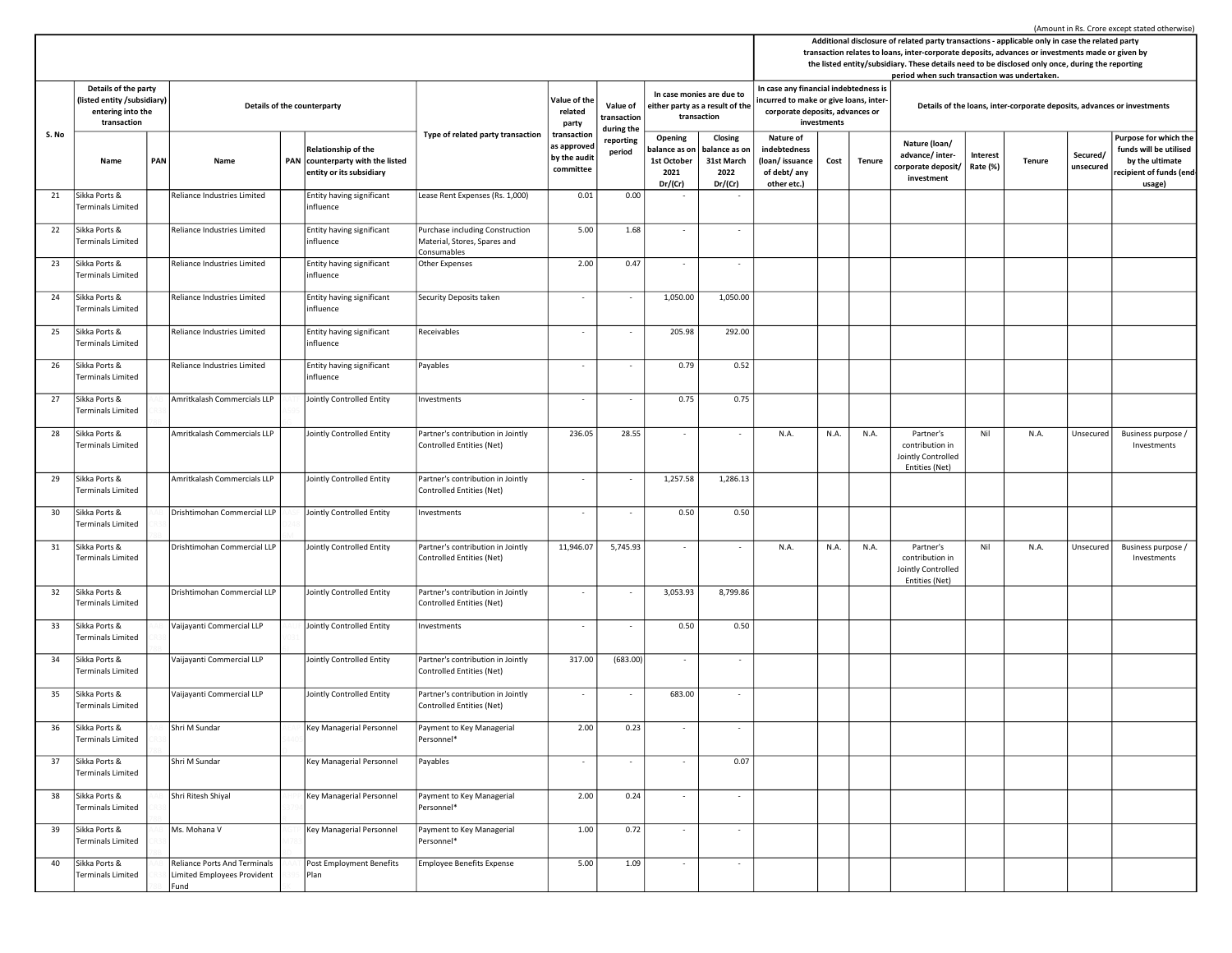Name PAN Name PAN Relationship of the PAN counterparty with the listed entity or its subsidiary Opening balance as on 1st October 2021 Dr/(Cr) Closing balance as on 31st March 2022 Dr/(Cr) Nature of indebtedness (loan/ issuance of debt/ any other etc.) Cost Tenure Nature (loan/ advance/ intercorporate deposit/ investment Interest  $R_{\text{at}}$   $\left| \begin{array}{c} \text{Hence} \\ \text{Rate} \end{array} \right|$  Tenure Secured/ unsecured Purpose for which the funds will be utilised by the ultimate recipient of funds (endusage) Additional disclosure of related party transactions - applicable only in case the related party transaction relates to loans, inter-corporate deposits, advances or investments made or given by the listed entity/subsidiary. These details need to be disclosed only once, during the reporting period when such transaction was undertaken. S. No Type of related party transaction Value of the related party transaction as approved by the audit committee Value of transaction during the reporting period In case monies are due to either party as a result of the transaction In case any financial indebtedness is incurred to make or give loans, intercorporate deposits, advances or investments Details of the counterparty **Details of the counterparty** Details of the loans, inter-corporate deposits, advances or investments Details of the party (listed entity /subsidiary) entering into the transaction 21 Sikka Ports & Terminals Limited Reliance Industries Limited Entity having significant influence Lease Rent Expenses (Rs.  $1,000$ )  $\begin{array}{|c|c|c|c|c|c|} \hline 0.01 & 0.00 & 0.00 \end{array}$ 22 Sikka Ports & .<br>Prminals Limited Reliance Industries Limited Fntity having significant influence Purchase including Construction Material, Stores, Spares and Consumables  $5.00$   $1.68$   $-$ 23 Sikka Ports & Terminals Limited Reliance Industries Limited Entity having significant influence Other Expenses 2.00 0.47 24 Sikka Ports & Terminals Limited Reliance Industries Limited Entity having significant influence Security Deposits taken - - 1,050.00 1,050.00 25 Sikka Ports & .<br>Terminals Limited Reliance Industries Limited Entity having significant influence Receivables 292.00 26 Sikka Ports & Terminals Limited Reliance Industries Limited Entity having significant influence Payables 0.52 27 Sikka Ports & Terminals Limited Amritkalash Commercials LLP Jointly Controlled Entity Investments - - 0.75 0.75 28 Sikka Ports & Terminals Limited Amritkalash Commercials LLP Jointly Controlled Entity Partner's contribution in Jointly Controlled Entities (Net) 236.05 28.55 - - N.A. N.A. N.A. Partner's contribution in Jointly Controlled Entities (Net) Nil N.A. Unsecured Business purpose / Investments 29 Sikka Ports & Terminals Limited Amritkalash Commercials LLP Jointly Controlled Entity Partner's contribution in Jointly Controlled Entities (Net) 1,257.58 1,286.13 30 Sikka Ports & Terminals Limited Drishtimohan Commercial LLP Jointly Controlled Entity Investments - - 0.50 0.50 0.50 0.50 31 Sikka Ports & Terminals Limited Drishtimohan Commercial LLP Jointly Controlled Entity Partner's contribution in Jointly Controlled Entities (Net) 11,946.07 5,745.93 - - N.A. N.A. N.A. Partner's contribution in Jointly Controlled Entities (Net) Nil N.A. Unsecured Business purpose / Investments 32 Sikka Ports & Terminals Limited Drishtimohan Commercial LLP Jointly Controlled Entity Partner's contribution in Jointly Controlled Entities (Net)  $-$  3,053.93 8,799.86 33 Sikka Ports & Terminals Limited Vaijayanti Commercial LLP Jointly Controlled Entity Investments - - 0.50 0.50 0.50 0.50 34 Sikka Ports & Terminals Limited Vaijayanti Commercial LLP Jointly Controlled Entity Partner's contribution in Jointly Controlled Entities (Net)  $317.00$   $(683.00)$ 35 Sikka Ports & Terminals Limited Vaijayanti Commercial LLP Jointly Controlled Entity Partner's contribution in Jointly Controlled Entities (Net) - - 683.00 - 36 Sikka Ports & Terminals Limited Shri M Sundar Key Managerial Personnel Payment to Key Managerial Personnel\*  $2.00$  0.23 -  $\vert$ 37 Sikka Ports & Terminals Limited Shri M Sundar Key Managerial Personnel Payables - - - - 0.07 38 Sikka Ports & Terminals Limited 78B Shri Ritesh Shiyal R Key Managerial Personnel Payment to Key Managerial Personnel\*  $2.00$  0.24 -  $\vert$ 39 Sikka Ports & Terminals Limited Ms. Mohana V Key Managerial Personnel Payment to Key Managerial Personnel\*  $1.00$  0.72 -  $\vert$ 40 Sikka Ports & Terminals Limited Reliance Ports And Terminals Limited Employees Provident Post Employment Benefits Plan Employee Benefits Expense 5.00 1.09 - - -

Fund

(Amount in Rs. Crore except stated otherwise)